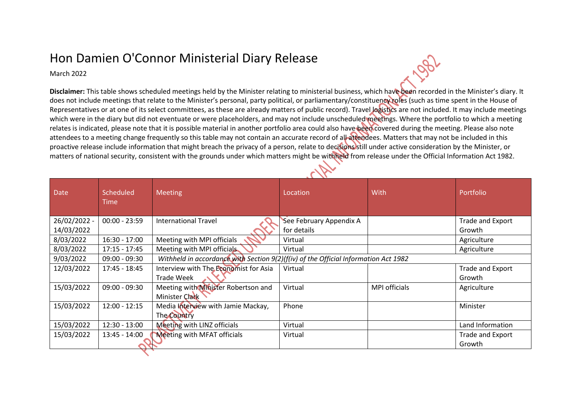## Hon Damien O'Connor Ministerial Diary Release

March 2022

**Disclaimer:** This table shows scheduled meetings held by the Minister relating to ministerial business, which have been recorded in the Minister's diary. It does not include meetings that relate to the Minister's personal, party political, or parliamentary/constituency roles (such as time spent in the House of Representatives or at one of its select committees, as these are already matters of public record). Travel logistics are not included. It may include meetings which were in the diary but did not eventuate or were placeholders, and may not include unscheduled meetings. Where the portfolio to which a meeting relates is indicated, please note that it is possible material in another portfolio area could also have been covered during the meeting. Please also note attendees to a meeting change frequently so this table may not contain an accurate record of all attendees. Matters that may not be included in this proactive release include information that might breach the privacy of a person, relate to decisions still under active consideration by the Minister, or matters of national security, consistent with the grounds under which matters might be withheld from release under the Official Information Act 1982.

| <b>Date</b>  | Scheduled<br>Time | <b>Meeting</b>                        | Location                                                                            | With                 | Portfolio        |  |  |
|--------------|-------------------|---------------------------------------|-------------------------------------------------------------------------------------|----------------------|------------------|--|--|
| 26/02/2022 - | $00:00 - 23:59$   | <b>International Travel</b>           | See February Appendix A                                                             |                      | Trade and Export |  |  |
| 14/03/2022   |                   |                                       | for details                                                                         |                      | Growth           |  |  |
| 8/03/2022    | $16:30 - 17:00$   | Meeting with MPI officials            | Virtual                                                                             |                      | Agriculture      |  |  |
| 8/03/2022    | $17:15 - 17:45$   | Meeting with MPI officials            | Virtual                                                                             |                      | Agriculture      |  |  |
| 9/03/2022    | $09:00 - 09:30$   |                                       | Withheld in accordance with Section 9(2)(f(iv) of the Official Information Act 1982 |                      |                  |  |  |
| 12/03/2022   | $17:45 - 18:45$   | Interview with The Economist for Asia | Virtual                                                                             |                      | Trade and Export |  |  |
|              |                   | <b>Trade Week</b>                     |                                                                                     |                      | Growth           |  |  |
| 15/03/2022   | $09:00 - 09:30$   | Meeting with Minister Robertson and   | Virtual                                                                             | <b>MPI</b> officials | Agriculture      |  |  |
|              |                   | Minister Clark                        |                                                                                     |                      |                  |  |  |
| 15/03/2022   | $12:00 - 12:15$   | Media Interview with Jamie Mackay,    | Phone                                                                               |                      | Minister         |  |  |
|              |                   | The Country                           |                                                                                     |                      |                  |  |  |
| 15/03/2022   | $12:30 - 13:00$   | Meeting with LINZ officials           | Virtual                                                                             |                      | Land Information |  |  |
| 15/03/2022   | 13:45 - 14:00     | <b>Meeting with MFAT officials</b>    | Virtual                                                                             |                      | Trade and Export |  |  |
|              |                   |                                       |                                                                                     |                      | Growth           |  |  |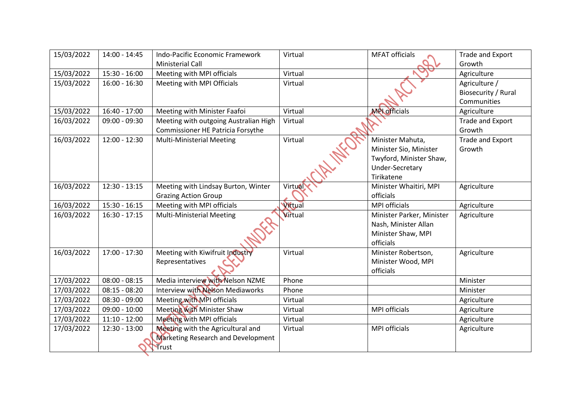| 15/03/2022 | 14:00 - 14:45   | Indo-Pacific Economic Framework<br><b>Ministerial Call</b> | Virtual        | <b>MFAT officials</b>     | Trade and Export<br>Growth |
|------------|-----------------|------------------------------------------------------------|----------------|---------------------------|----------------------------|
| 15/03/2022 | 15:30 - 16:00   | Meeting with MPI officials                                 | Virtual        |                           | Agriculture                |
| 15/03/2022 | $16:00 - 16:30$ | Meeting with MPI Officials                                 | Virtual        |                           | Agriculture /              |
|            |                 |                                                            |                |                           | Biosecurity / Rural        |
|            |                 |                                                            |                |                           | Communities                |
| 15/03/2022 | $16:40 - 17:00$ | Meeting with Minister Faafoi                               | Virtual        | <b>MPL</b> officials      | Agriculture                |
| 16/03/2022 | $09:00 - 09:30$ | Meeting with outgoing Australian High                      | Virtual        |                           | Trade and Export           |
|            |                 | Commissioner HE Patricia Forsythe                          |                |                           | Growth                     |
| 16/03/2022 | $12:00 - 12:30$ | <b>Multi-Ministerial Meeting</b>                           | Virtual        | Minister Mahuta,          | Trade and Export           |
|            |                 |                                                            |                | Minister Sio, Minister    | Growth                     |
|            |                 |                                                            |                | Twyford, Minister Shaw,   |                            |
|            |                 |                                                            |                | Under-Secretary           |                            |
|            |                 |                                                            |                | Tirikatene                |                            |
| 16/03/2022 | $12:30 - 13:15$ | Meeting with Lindsay Burton, Winter                        | Virtual        | Minister Whaitiri, MPI    | Agriculture                |
|            |                 | <b>Grazing Action Group</b>                                |                | officials                 |                            |
| 16/03/2022 | $15:30 - 16:15$ | Meeting with MPI officials                                 | Virtual        | <b>MPI officials</b>      | Agriculture                |
| 16/03/2022 | $16:30 - 17:15$ | <b>Multi-Ministerial Meeting</b>                           | <b>Virtual</b> | Minister Parker, Minister | Agriculture                |
|            |                 |                                                            |                | Nash, Minister Allan      |                            |
|            |                 |                                                            |                | Minister Shaw, MPI        |                            |
|            |                 |                                                            |                | officials                 |                            |
| 16/03/2022 | $17:00 - 17:30$ | Meeting with Kiwifruit Industry                            | Virtual        | Minister Robertson,       | Agriculture                |
|            |                 | Representatives                                            |                | Minister Wood, MPI        |                            |
|            |                 |                                                            |                | officials                 |                            |
| 17/03/2022 | $08:00 - 08:15$ | Media interview with Nelson NZME                           | Phone          |                           | Minister                   |
| 17/03/2022 | $08:15 - 08:20$ | Interview with Nelson Mediaworks                           | Phone          |                           | Minister                   |
| 17/03/2022 | $08:30 - 09:00$ | Meeting with MPI officials                                 | Virtual        |                           | Agriculture                |
| 17/03/2022 | $09:00 - 10:00$ | <b>Meeting with Minister Shaw</b>                          | Virtual        | <b>MPI</b> officials      | Agriculture                |
| 17/03/2022 | $11:10 - 12:00$ | Meeting with MPI officials                                 | Virtual        |                           | Agriculture                |
| 17/03/2022 | $12:30 - 13:00$ | Meeting with the Agricultural and                          | Virtual        | <b>MPI</b> officials      | Agriculture                |
|            |                 | <b>Marketing Research and Development</b><br>Trust         |                |                           |                            |
|            |                 |                                                            |                |                           |                            |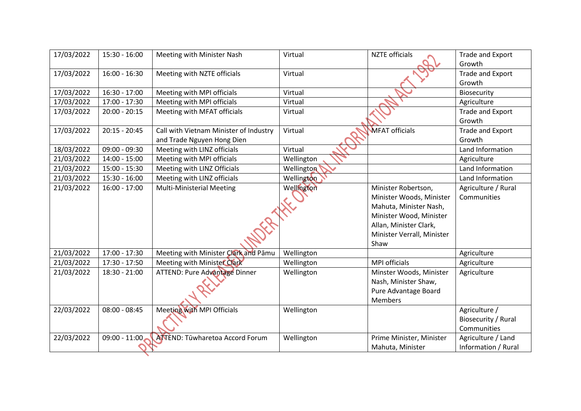| 17/03/2022 | $15:30 - 16:00$ | Meeting with Minister Nash             | Virtual    | <b>NZTE</b> officials      | Trade and Export        |
|------------|-----------------|----------------------------------------|------------|----------------------------|-------------------------|
|            |                 |                                        |            |                            | Growth                  |
| 17/03/2022 | 16:00 - 16:30   | Meeting with NZTE officials            | Virtual    |                            | Trade and Export        |
|            |                 |                                        |            |                            | Growth                  |
| 17/03/2022 | $16:30 - 17:00$ | Meeting with MPI officials             | Virtual    |                            | Biosecurity             |
| 17/03/2022 | 17:00 - 17:30   | Meeting with MPI officials             | Virtual    |                            | Agriculture             |
| 17/03/2022 | 20:00 - 20:15   | Meeting with MFAT officials            | Virtual    |                            | Trade and Export        |
|            |                 |                                        |            |                            | Growth                  |
| 17/03/2022 | $20:15 - 20:45$ | Call with Vietnam Minister of Industry | Virtual    | <b>MFAT</b> officials      | <b>Trade and Export</b> |
|            |                 | and Trade Nguyen Hong Dien             |            |                            | Growth                  |
| 18/03/2022 | 09:00 - 09:30   | Meeting with LINZ officials            | Virtual    |                            | Land Information        |
| 21/03/2022 | $14:00 - 15:00$ | Meeting with MPI officials             | Wellington |                            | Agriculture             |
| 21/03/2022 | 15:00 - 15:30   | Meeting with LINZ Officials            | Wellington |                            | Land Information        |
| 21/03/2022 | $15:30 - 16:00$ | Meeting with LINZ officials            | Wellington |                            | Land Information        |
| 21/03/2022 | $16:00 - 17:00$ | <b>Multi-Ministerial Meeting</b>       | Wellington | Minister Robertson,        | Agriculture / Rural     |
|            |                 |                                        |            | Minister Woods, Minister   | Communities             |
|            |                 |                                        |            | Mahuta, Minister Nash,     |                         |
|            |                 |                                        |            | Minister Wood, Minister    |                         |
|            |                 |                                        |            | Allan, Minister Clark,     |                         |
|            |                 |                                        |            | Minister Verrall, Minister |                         |
|            |                 |                                        |            | Shaw                       |                         |
| 21/03/2022 | 17:00 - 17:30   | Meeting with Minister Clark and Pāmu   | Wellington |                            | Agriculture             |
| 21/03/2022 | 17:30 - 17:50   | Meeting with Minister Clark            | Wellington | <b>MPI</b> officials       | Agriculture             |
| 21/03/2022 | 18:30 - 21:00   | ATTEND: Pure Advantage Dinner          | Wellington | Minster Woods, Minister    | Agriculture             |
|            |                 |                                        |            | Nash, Minister Shaw,       |                         |
|            |                 |                                        |            | Pure Advantage Board       |                         |
|            |                 |                                        |            | <b>Members</b>             |                         |
| 22/03/2022 | $08:00 - 08:45$ | Meeting with MPI Officials             | Wellington |                            | Agriculture /           |
|            |                 |                                        |            |                            | Biosecurity / Rural     |
|            |                 |                                        |            |                            | Communities             |
| 22/03/2022 | $09:00 - 11:00$ | <b>ANTEND: Tuwharetoa Accord Forum</b> | Wellington | Prime Minister, Minister   | Agriculture / Land      |
|            |                 |                                        |            | Mahuta, Minister           | Information / Rural     |
|            |                 |                                        |            |                            |                         |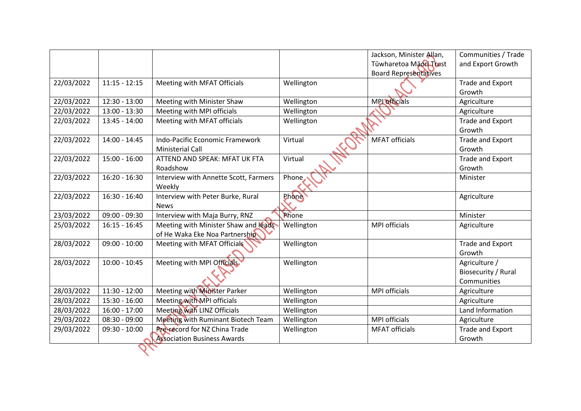|            |                 |                                       |            | Jackson, Minister Allan,     | Communities / Trade     |
|------------|-----------------|---------------------------------------|------------|------------------------------|-------------------------|
|            |                 |                                       |            | Tūwharetoa Maori Trust       | and Export Growth       |
|            |                 |                                       |            | <b>Board Representatives</b> |                         |
| 22/03/2022 | $11:15 - 12:15$ | Meeting with MFAT Officials           | Wellington |                              | Trade and Export        |
|            |                 |                                       |            |                              | Growth                  |
| 22/03/2022 | $12:30 - 13:00$ | Meeting with Minister Shaw            | Wellington | <b>MPI</b> officials         | Agriculture             |
| 22/03/2022 | $13:00 - 13:30$ | Meeting with MPI officials            | Wellington |                              | Agriculture             |
| 22/03/2022 | $13:45 - 14:00$ | Meeting with MFAT officials           | Wellington |                              | Trade and Export        |
|            |                 |                                       |            |                              | Growth                  |
| 22/03/2022 | 14:00 - 14:45   | Indo-Pacific Economic Framework       | Virtual    | MFAT officials               | Trade and Export        |
|            |                 | <b>Ministerial Call</b>               |            |                              | Growth                  |
| 22/03/2022 | $15:00 - 16:00$ | ATTEND AND SPEAK: MFAT UK FTA         | Virtual    |                              | Trade and Export        |
|            |                 | Roadshow                              |            |                              | Growth                  |
| 22/03/2022 | $16:20 - 16:30$ | Interview with Annette Scott, Farmers | Phone      |                              | Minister                |
|            |                 | Weekly                                |            |                              |                         |
| 22/03/2022 | 16:30 - 16:40   | Interview with Peter Burke, Rural     | Phone      |                              | Agriculture             |
|            |                 | <b>News</b>                           |            |                              |                         |
| 23/03/2022 | $09:00 - 09:30$ | Interview with Maja Burry, RNZ        | Phone      |                              | Minister                |
| 25/03/2022 | $16:15 - 16:45$ | Meeting with Minister Shaw and leads  | Wellington | <b>MPI</b> officials         | Agriculture             |
|            |                 | of He Waka Eke Noa Partnership        |            |                              |                         |
| 28/03/2022 | $09:00 - 10:00$ | Meeting with MFAT Officials           | Wellington |                              | Trade and Export        |
|            |                 |                                       |            |                              | Growth                  |
| 28/03/2022 | $10:00 - 10:45$ | Meeting with MPI Officials            | Wellington |                              | Agriculture /           |
|            |                 |                                       |            |                              | Biosecurity / Rural     |
|            |                 |                                       |            |                              | Communities             |
| 28/03/2022 | $11:30 - 12:00$ | Meeting with Minister Parker          | Wellington | <b>MPI</b> officials         | Agriculture             |
| 28/03/2022 | 15:30 - 16:00   | Meeting with MPI officials            | Wellington |                              | Agriculture             |
| 28/03/2022 | $16:00 - 17:00$ | Meeting with LINZ Officials           | Wellington |                              | Land Information        |
| 29/03/2022 | $08:30 - 09:00$ | Meeting with Ruminant Biotech Team    | Wellington | <b>MPI officials</b>         | Agriculture             |
| 29/03/2022 | $09:30 - 10:00$ | <b>Pre-record for NZ China Trade</b>  | Wellington | <b>MFAT</b> officials        | <b>Trade and Export</b> |
|            |                 | <b>Association Business Awards</b>    |            |                              | Growth                  |
|            |                 |                                       |            |                              |                         |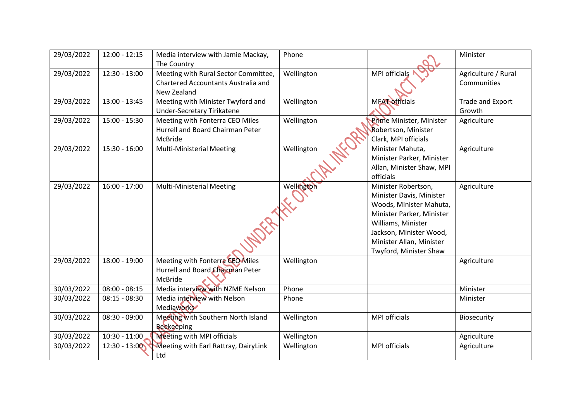| 29/03/2022 | $12:00 - 12:15$ | Media interview with Jamie Mackay,<br>The Country                                                 | Phone      |                                                                                                                                                                                                                | Minister                           |
|------------|-----------------|---------------------------------------------------------------------------------------------------|------------|----------------------------------------------------------------------------------------------------------------------------------------------------------------------------------------------------------------|------------------------------------|
| 29/03/2022 | $12:30 - 13:00$ | Meeting with Rural Sector Committee,<br><b>Chartered Accountants Australia and</b><br>New Zealand | Wellington | <b>MPI</b> officials                                                                                                                                                                                           | Agriculture / Rural<br>Communities |
| 29/03/2022 | 13:00 - 13:45   | Meeting with Minister Twyford and<br><b>Under-Secretary Tirikatene</b>                            | Wellington | <b>MEAT officials</b>                                                                                                                                                                                          | Trade and Export<br>Growth         |
| 29/03/2022 | $15:00 - 15:30$ | Meeting with Fonterra CEO Miles<br>Hurrell and Board Chairman Peter<br>McBride                    | Wellington | Prime Minister, Minister<br>Robertson, Minister<br>Clark, MPI officials                                                                                                                                        | Agriculture                        |
| 29/03/2022 | $15:30 - 16:00$ | <b>Multi-Ministerial Meeting</b>                                                                  | Wellington | Minister Mahuta,<br>Minister Parker, Minister<br>Allan, Minister Shaw, MPI<br>officials                                                                                                                        | Agriculture                        |
| 29/03/2022 | $16:00 - 17:00$ | <b>Multi-Ministerial Meeting</b><br><b>LOCATA</b>                                                 | Wellington | Minister Robertson,<br>Minister Davis, Minister<br>Woods, Minister Mahuta,<br>Minister Parker, Minister<br>Williams, Minister<br>Jackson, Minister Wood,<br>Minister Allan, Minister<br>Twyford, Minister Shaw | Agriculture                        |
| 29/03/2022 | $18:00 - 19:00$ | Meeting with Fonterra CEO Miles<br>Hurrell and Board Chairman Peter<br>McBride                    | Wellington |                                                                                                                                                                                                                | Agriculture                        |
| 30/03/2022 | $08:00 - 08:15$ | Media interview with NZME Nelson                                                                  | Phone      |                                                                                                                                                                                                                | Minister                           |
| 30/03/2022 | $08:15 - 08:30$ | Media interview with Nelson<br>Mediaworks                                                         | Phone      |                                                                                                                                                                                                                | Minister                           |
| 30/03/2022 | $08:30 - 09:00$ | Meeting with Southern North Island<br><b>Beekeeping</b>                                           | Wellington | <b>MPI</b> officials                                                                                                                                                                                           | Biosecurity                        |
| 30/03/2022 | $10:30 - 11:00$ | <b>Meeting with MPI officials</b>                                                                 | Wellington |                                                                                                                                                                                                                | Agriculture                        |
| 30/03/2022 | $12:30 - 13:00$ | Meeting with Earl Rattray, DairyLink<br>Ltd                                                       | Wellington | <b>MPI</b> officials                                                                                                                                                                                           | Agriculture                        |